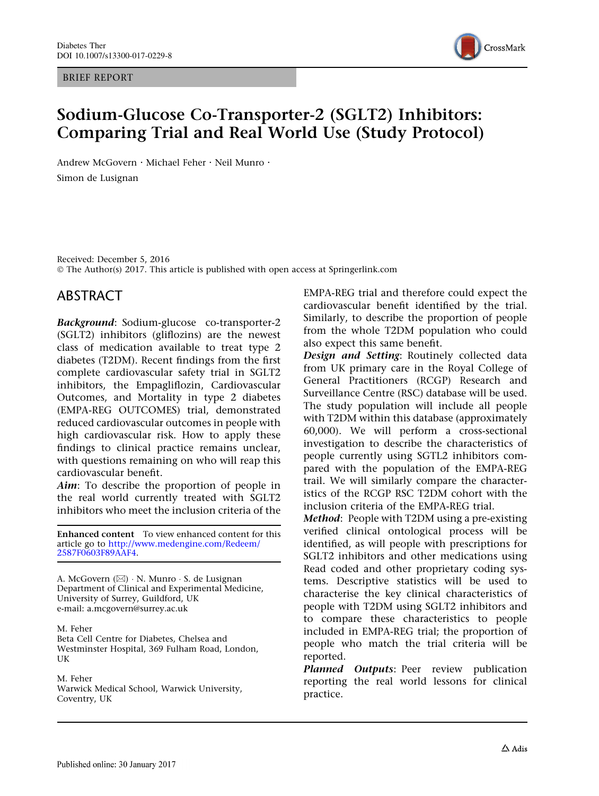BRIEF REPORT



# Sodium-Glucose Co-Transporter-2 (SGLT2) Inhibitors: Comparing Trial and Real World Use (Study Protocol)

Andrew McGovern · Michael Feher · Neil Munro · Simon de Lusignan

Received: December 5, 2016 © The Author(s) 2017. This article is published with open access at Springerlink.com

### ABSTRACT

Background: Sodium-glucose co-transporter-2 (SGLT2) inhibitors (gliflozins) are the newest class of medication available to treat type 2 diabetes (T2DM). Recent findings from the first complete cardiovascular safety trial in SGLT2 inhibitors, the Empagliflozin, Cardiovascular Outcomes, and Mortality in type 2 diabetes (EMPA-REG OUTCOMES) trial, demonstrated reduced cardiovascular outcomes in people with high cardiovascular risk. How to apply these findings to clinical practice remains unclear, with questions remaining on who will reap this cardiovascular benefit.

Aim: To describe the proportion of people in the real world currently treated with SGLT2 inhibitors who meet the inclusion criteria of the

Enhanced content To view enhanced content for this article go to [http://www.medengine.com/Redeem/](http://www.medengine.com/Redeem/2587F0603F89AAF4) [2587F0603F89AAF4](http://www.medengine.com/Redeem/2587F0603F89AAF4).

A. McGovern (&) - N. Munro - S. de Lusignan Department of Clinical and Experimental Medicine, University of Surrey, Guildford, UK e-mail: a.mcgovern@surrey.ac.uk

#### M. Feher

Beta Cell Centre for Diabetes, Chelsea and Westminster Hospital, 369 Fulham Road, London, UK

#### M. Feher

Warwick Medical School, Warwick University, Coventry, UK

EMPA-REG trial and therefore could expect the cardiovascular benefit identified by the trial. Similarly, to describe the proportion of people from the whole T2DM population who could also expect this same benefit.

Design and Setting: Routinely collected data from UK primary care in the Royal College of General Practitioners (RCGP) Research and Surveillance Centre (RSC) database will be used. The study population will include all people with T2DM within this database (approximately 60,000). We will perform a cross-sectional investigation to describe the characteristics of people currently using SGTL2 inhibitors compared with the population of the EMPA-REG trail. We will similarly compare the characteristics of the RCGP RSC T2DM cohort with the inclusion criteria of the EMPA-REG trial.

Method: People with T2DM using a pre-existing verified clinical ontological process will be identified, as will people with prescriptions for SGLT2 inhibitors and other medications using Read coded and other proprietary coding systems. Descriptive statistics will be used to characterise the key clinical characteristics of people with T2DM using SGLT2 inhibitors and to compare these characteristics to people included in EMPA-REG trial; the proportion of people who match the trial criteria will be reported.

Planned Outputs: Peer review publication reporting the real world lessons for clinical practice.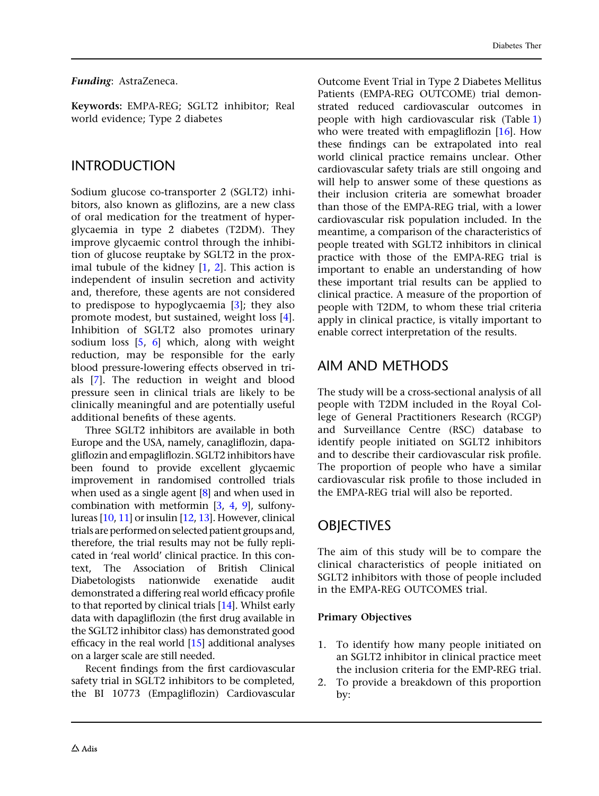### Funding: AstraZeneca.

Keywords: EMPA-REG; SGLT2 inhibitor; Real world evidence; Type 2 diabetes

### INTRODUCTION

Sodium glucose co-transporter 2 (SGLT2) inhibitors, also known as gliflozins, are a new class of oral medication for the treatment of hyperglycaemia in type 2 diabetes (T2DM). They improve glycaemic control through the inhibition of glucose reuptake by SGLT2 in the proximal tubule of the kidney [[1,](#page-6-0) [2](#page-6-0)]. This action is independent of insulin secretion and activity and, therefore, these agents are not considered to predispose to hypoglycaemia [[3](#page-6-0)]; they also promote modest, but sustained, weight loss [\[4](#page-6-0)]. Inhibition of SGLT2 also promotes urinary sodium loss [\[5,](#page-6-0) [6\]](#page-7-0) which, along with weight reduction, may be responsible for the early blood pressure-lowering effects observed in trials [\[7\]](#page-7-0). The reduction in weight and blood pressure seen in clinical trials are likely to be clinically meaningful and are potentially useful additional benefits of these agents.

Three SGLT2 inhibitors are available in both Europe and the USA, namely, canagliflozin, dapagliflozin and empagliflozin. SGLT2 inhibitors have been found to provide excellent glycaemic improvement in randomised controlled trials when used as a single agent [\[8\]](#page-7-0) and when used in combination with metformin [\[3,](#page-6-0) [4](#page-6-0), [9](#page-7-0)], sulfonylureas [\[10](#page-7-0), [11\]](#page-7-0) or insulin [[12,](#page-7-0) [13](#page-7-0)]. However, clinical trials are performed on selected patient groups and, therefore, the trial results may not be fully replicated in 'real world' clinical practice. In this context, The Association of British Clinical Diabetologists nationwide exenatide audit demonstrated a differing real world efficacy profile to that reported by clinical trials [[14\]](#page-7-0). Whilst early data with dapagliflozin (the first drug available in the SGLT2 inhibitor class) has demonstrated good efficacy in the real world [[15\]](#page-7-0) additional analyses on a larger scale are still needed.

Recent findings from the first cardiovascular safety trial in SGLT2 inhibitors to be completed, the BI 10773 (Empagliflozin) Cardiovascular Outcome Event Trial in Type 2 Diabetes Mellitus Patients (EMPA-REG OUTCOME) trial demonstrated reduced cardiovascular outcomes in people with high cardiovascular risk (Table [1](#page-2-0)) who were treated with empagliflozin [[16\]](#page-7-0). How these findings can be extrapolated into real world clinical practice remains unclear. Other cardiovascular safety trials are still ongoing and will help to answer some of these questions as their inclusion criteria are somewhat broader than those of the EMPA-REG trial, with a lower cardiovascular risk population included. In the meantime, a comparison of the characteristics of people treated with SGLT2 inhibitors in clinical practice with those of the EMPA-REG trial is important to enable an understanding of how these important trial results can be applied to clinical practice. A measure of the proportion of people with T2DM, to whom these trial criteria apply in clinical practice, is vitally important to enable correct interpretation of the results.

### AIM AND METHODS

The study will be a cross-sectional analysis of all people with T2DM included in the Royal College of General Practitioners Research (RCGP) and Surveillance Centre (RSC) database to identify people initiated on SGLT2 inhibitors and to describe their cardiovascular risk profile. The proportion of people who have a similar cardiovascular risk profile to those included in the EMPA-REG trial will also be reported.

# **OBJECTIVES**

The aim of this study will be to compare the clinical characteristics of people initiated on SGLT2 inhibitors with those of people included in the EMPA-REG OUTCOMES trial.

### Primary Objectives

- 1. To identify how many people initiated on an SGLT2 inhibitor in clinical practice meet the inclusion criteria for the EMP-REG trial.
- 2. To provide a breakdown of this proportion by: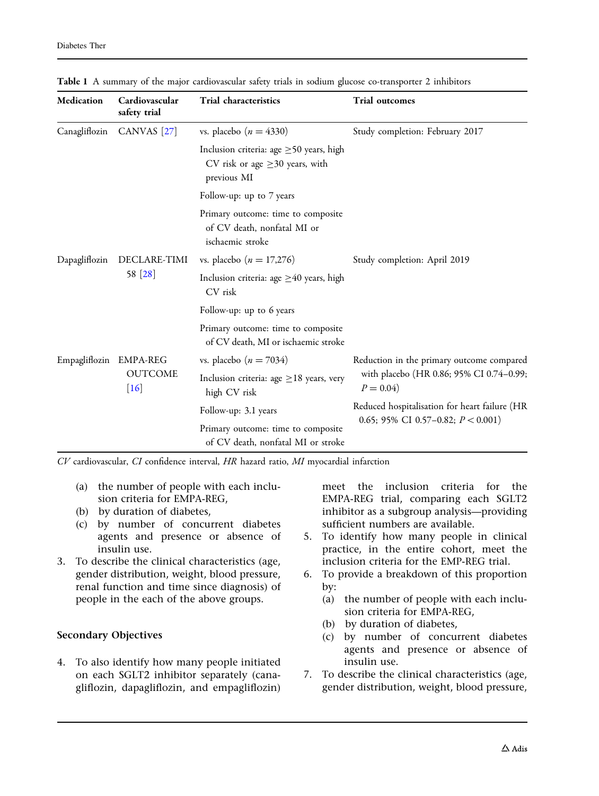| Medication    | Cardiovascular<br>safety trial    | Trial characteristics                                                                                | <b>Trial outcomes</b>                                                                               |
|---------------|-----------------------------------|------------------------------------------------------------------------------------------------------|-----------------------------------------------------------------------------------------------------|
| Canagliflozin | CANVAS <sup>[27]</sup>            | vs. placebo ( $n = 4330$ )                                                                           | Study completion: February 2017                                                                     |
|               |                                   | Inclusion criteria: age $\geq$ 50 years, high<br>CV risk or age $\geq$ 30 years, with<br>previous MI |                                                                                                     |
|               |                                   | Follow-up: up to 7 years                                                                             |                                                                                                     |
|               |                                   | Primary outcome: time to composite<br>of CV death, nonfatal MI or<br>ischaemic stroke                |                                                                                                     |
| Dapagliflozin | DECLARE-TIMI<br>58 [28]           | vs. placebo ( <i>n</i> = 17,276)                                                                     | Study completion: April 2019                                                                        |
|               |                                   | Inclusion criteria: age $\geq$ 40 years, high<br>CV risk                                             |                                                                                                     |
|               |                                   | Follow-up: up to 6 years                                                                             |                                                                                                     |
|               |                                   | Primary outcome: time to composite<br>of CV death, MI or ischaemic stroke                            |                                                                                                     |
| Empagliflozin | EMPA-REG<br><b>OUTCOME</b><br> 16 | vs. placebo ( $n = 7034$ )                                                                           | Reduction in the primary outcome compared<br>with placebo (HR 0.86; 95% CI 0.74-0.99;<br>$P = 0.04$ |
|               |                                   | Inclusion criteria: age $\geq$ 18 years, very<br>high CV risk                                        |                                                                                                     |
|               |                                   | Follow-up: 3.1 years                                                                                 | Reduced hospitalisation for heart failure (HR<br>0.65; 95% CI 0.57-0.82; $P < 0.001$ )              |
|               |                                   | Primary outcome: time to composite<br>of CV death, nonfatal MI or stroke                             |                                                                                                     |

<span id="page-2-0"></span>Table 1 A summary of the major cardiovascular safety trials in sodium glucose co-transporter 2 inhibitors

CV cardiovascular, CI confidence interval, HR hazard ratio, MI myocardial infarction

- (a) the number of people with each inclusion criteria for EMPA-REG,
- (b) by duration of diabetes,
- (c) by number of concurrent diabetes agents and presence or absence of insulin use.
- 3. To describe the clinical characteristics (age, gender distribution, weight, blood pressure, renal function and time since diagnosis) of people in the each of the above groups.

### Secondary Objectives

4. To also identify how many people initiated on each SGLT2 inhibitor separately (canagliflozin, dapagliflozin, and empagliflozin) meet the inclusion criteria for the EMPA-REG trial, comparing each SGLT2 inhibitor as a subgroup analysis—providing sufficient numbers are available.

- 5. To identify how many people in clinical practice, in the entire cohort, meet the inclusion criteria for the EMP-REG trial.
- 6. To provide a breakdown of this proportion by:
	- (a) the number of people with each inclusion criteria for EMPA-REG,
	- (b) by duration of diabetes,
	- (c) by number of concurrent diabetes agents and presence or absence of insulin use.
- 7. To describe the clinical characteristics (age, gender distribution, weight, blood pressure,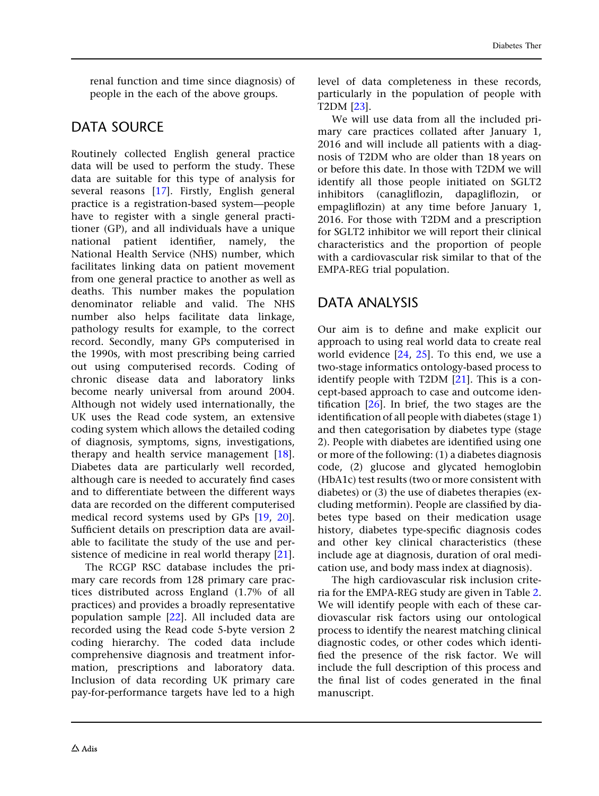<span id="page-3-0"></span>renal function and time since diagnosis) of people in the each of the above groups.

### DATA SOURCE

Routinely collected English general practice data will be used to perform the study. These data are suitable for this type of analysis for several reasons [\[17\]](#page-7-0). Firstly, English general practice is a registration-based system—people have to register with a single general practitioner (GP), and all individuals have a unique national patient identifier, namely, the National Health Service (NHS) number, which facilitates linking data on patient movement from one general practice to another as well as deaths. This number makes the population denominator reliable and valid. The NHS number also helps facilitate data linkage, pathology results for example, to the correct record. Secondly, many GPs computerised in the 1990s, with most prescribing being carried out using computerised records. Coding of chronic disease data and laboratory links become nearly universal from around 2004. Although not widely used internationally, the UK uses the Read code system, an extensive coding system which allows the detailed coding of diagnosis, symptoms, signs, investigations, therapy and health service management [[18](#page-7-0)]. Diabetes data are particularly well recorded, although care is needed to accurately find cases and to differentiate between the different ways data are recorded on the different computerised medical record systems used by GPs [\[19,](#page-7-0) [20](#page-7-0)]. Sufficient details on prescription data are available to facilitate the study of the use and persistence of medicine in real world therapy [[21](#page-7-0)].

The RCGP RSC database includes the primary care records from 128 primary care practices distributed across England (1.7% of all practices) and provides a broadly representative population sample [\[22\]](#page-7-0). All included data are recorded using the Read code 5-byte version 2 coding hierarchy. The coded data include comprehensive diagnosis and treatment information, prescriptions and laboratory data. Inclusion of data recording UK primary care pay-for-performance targets have led to a high level of data completeness in these records, particularly in the population of people with T2DM [[23](#page-7-0)].

We will use data from all the included primary care practices collated after January 1, 2016 and will include all patients with a diagnosis of T2DM who are older than 18 years on or before this date. In those with T2DM we will identify all those people initiated on SGLT2 inhibitors (canagliflozin, dapagliflozin, or empagliflozin) at any time before January 1, 2016. For those with T2DM and a prescription for SGLT2 inhibitor we will report their clinical characteristics and the proportion of people with a cardiovascular risk similar to that of the EMPA-REG trial population.

### DATA ANALYSIS

Our aim is to define and make explicit our approach to using real world data to create real world evidence [\[24,](#page-7-0) [25](#page-7-0)]. To this end, we use a two-stage informatics ontology-based process to identify people with T2DM [[21](#page-7-0)]. This is a concept-based approach to case and outcome identification  $[26]$ . In brief, the two stages are the identification of all people with diabetes (stage 1) and then categorisation by diabetes type (stage 2). People with diabetes are identified using one or more of the following: (1) a diabetes diagnosis code, (2) glucose and glycated hemoglobin (HbA1c) test results (two or more consistent with diabetes) or (3) the use of diabetes therapies (excluding metformin). People are classified by diabetes type based on their medication usage history, diabetes type-specific diagnosis codes and other key clinical characteristics (these include age at diagnosis, duration of oral medication use, and body mass index at diagnosis).

The high cardiovascular risk inclusion criteria for the EMPA-REG study are given in Table [2.](#page-4-0) We will identify people with each of these cardiovascular risk factors using our ontological process to identify the nearest matching clinical diagnostic codes, or other codes which identified the presence of the risk factor. We will include the full description of this process and the final list of codes generated in the final manuscript.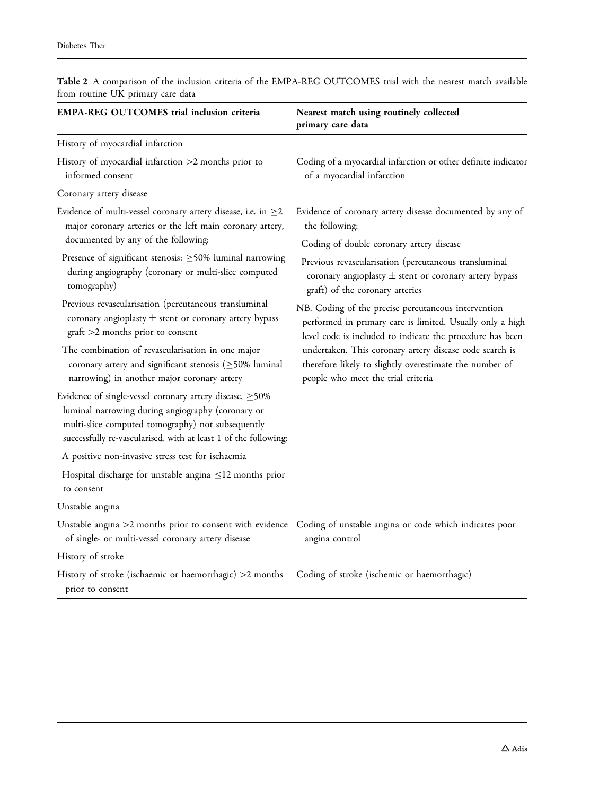| EMPA-REG OUTCOMES trial inclusion criteria                                                                                                                                                                                                 | Nearest match using routinely collected<br>primary care data                                                                                                                                                                                                                     |  |
|--------------------------------------------------------------------------------------------------------------------------------------------------------------------------------------------------------------------------------------------|----------------------------------------------------------------------------------------------------------------------------------------------------------------------------------------------------------------------------------------------------------------------------------|--|
| History of myocardial infarction                                                                                                                                                                                                           |                                                                                                                                                                                                                                                                                  |  |
| History of myocardial infarction >2 months prior to<br>informed consent                                                                                                                                                                    | Coding of a myocardial infarction or other definite indicator<br>of a myocardial infarction                                                                                                                                                                                      |  |
| Coronary artery disease                                                                                                                                                                                                                    |                                                                                                                                                                                                                                                                                  |  |
| Evidence of multi-vessel coronary artery disease, i.e. in $\geq$ 2<br>major coronary arteries or the left main coronary artery,<br>documented by any of the following:                                                                     | Evidence of coronary artery disease documented by any of<br>the following:<br>Coding of double coronary artery disease<br>Previous revascularisation (percutaneous transluminal<br>coronary angioplasty $\pm$ stent or coronary artery bypass<br>graft) of the coronary arteries |  |
| Presence of significant stenosis: ≥50% luminal narrowing<br>during angiography (coronary or multi-slice computed<br>tomography)                                                                                                            |                                                                                                                                                                                                                                                                                  |  |
| Previous revascularisation (percutaneous transluminal<br>coronary angioplasty $\pm$ stent or coronary artery bypass<br>$graff >2$ months prior to consent                                                                                  | NB. Coding of the precise percutaneous intervention<br>performed in primary care is limited. Usually only a high<br>level code is included to indicate the procedure has been                                                                                                    |  |
| The combination of revascularisation in one major<br>coronary artery and significant stenosis $(\geq 50\%$ luminal<br>narrowing) in another major coronary artery                                                                          | undertaken. This coronary artery disease code search is<br>therefore likely to slightly overestimate the number of<br>people who meet the trial criteria                                                                                                                         |  |
| Evidence of single-vessel coronary artery disease, $\geq$ 50%<br>luminal narrowing during angiography (coronary or<br>multi-slice computed tomography) not subsequently<br>successfully re-vascularised, with at least 1 of the following: |                                                                                                                                                                                                                                                                                  |  |
| A positive non-invasive stress test for ischaemia                                                                                                                                                                                          |                                                                                                                                                                                                                                                                                  |  |
| Hospital discharge for unstable angina $\leq$ 12 months prior<br>to consent                                                                                                                                                                |                                                                                                                                                                                                                                                                                  |  |
| Unstable angina                                                                                                                                                                                                                            |                                                                                                                                                                                                                                                                                  |  |
| Unstable angina >2 months prior to consent with evidence<br>of single- or multi-vessel coronary artery disease                                                                                                                             | Coding of unstable angina or code which indicates poor<br>angina control                                                                                                                                                                                                         |  |
| History of stroke                                                                                                                                                                                                                          |                                                                                                                                                                                                                                                                                  |  |
| History of stroke (ischaemic or haemorrhagic) >2 months<br>prior to consent                                                                                                                                                                | Coding of stroke (ischemic or haemorrhagic)                                                                                                                                                                                                                                      |  |

<span id="page-4-0"></span>Table 2 A comparison of the inclusion criteria of the EMPA-REG OUTCOMES trial with the nearest match available from routine UK primary care data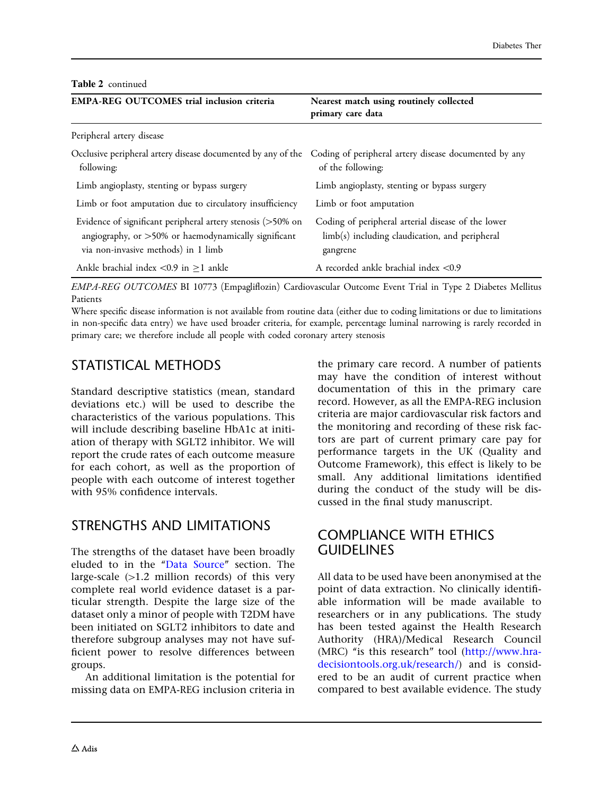| <b>EMPA-REG OUTCOMES trial inclusion criteria</b>                                                                                                             | Nearest match using routinely collected<br>primary care data                                                     |
|---------------------------------------------------------------------------------------------------------------------------------------------------------------|------------------------------------------------------------------------------------------------------------------|
| Peripheral artery disease                                                                                                                                     |                                                                                                                  |
| Occlusive peripheral artery disease documented by any of the<br>following:                                                                                    | Coding of peripheral artery disease documented by any<br>of the following:                                       |
| Limb angioplasty, stenting or bypass surgery                                                                                                                  | Limb angioplasty, stenting or bypass surgery                                                                     |
| Limb or foot amputation due to circulatory insufficiency                                                                                                      | Limb or foot amputation                                                                                          |
| Evidence of significant peripheral artery stenosis (>50% on<br>angiography, or $>50\%$ or haemodynamically significant<br>via non-invasive methods) in 1 limb | Coding of peripheral arterial disease of the lower<br>limb(s) including claudication, and peripheral<br>gangrene |
| Ankle brachial index <0.9 in $\geq$ 1 ankle                                                                                                                   | A recorded ankle brachial index $< 0.9$                                                                          |

EMPA-REG OUTCOMES BI 10773 (Empagliflozin) Cardiovascular Outcome Event Trial in Type 2 Diabetes Mellitus Patients

Where specific disease information is not available from routine data (either due to coding limitations or due to limitations in non-specific data entry) we have used broader criteria, for example, percentage luminal narrowing is rarely recorded in primary care; we therefore include all people with coded coronary artery stenosis

### STATISTICAL METHODS

Standard descriptive statistics (mean, standard deviations etc.) will be used to describe the characteristics of the various populations. This will include describing baseline HbA1c at initiation of therapy with SGLT2 inhibitor. We will report the crude rates of each outcome measure for each cohort, as well as the proportion of people with each outcome of interest together with 95% confidence intervals.

# STRENGTHS AND LIMITATIONS

The strengths of the dataset have been broadly eluded to in the ''[Data Source](#page-3-0)'' section. The large-scale  $(>1.2$  million records) of this very complete real world evidence dataset is a particular strength. Despite the large size of the dataset only a minor of people with T2DM have been initiated on SGLT2 inhibitors to date and therefore subgroup analyses may not have sufficient power to resolve differences between groups.

An additional limitation is the potential for missing data on EMPA-REG inclusion criteria in the primary care record. A number of patients may have the condition of interest without documentation of this in the primary care record. However, as all the EMPA-REG inclusion criteria are major cardiovascular risk factors and the monitoring and recording of these risk factors are part of current primary care pay for performance targets in the UK (Quality and Outcome Framework), this effect is likely to be small. Any additional limitations identified during the conduct of the study will be discussed in the final study manuscript.

### COMPLIANCE WITH ETHICS **GUIDELINES**

All data to be used have been anonymised at the point of data extraction. No clinically identifiable information will be made available to researchers or in any publications. The study has been tested against the Health Research Authority (HRA)/Medical Research Council (MRC) ''is this research'' tool [\(http://www.hra](http://www.hra-decisiontools.org.uk/research/)[decisiontools.org.uk/research/](http://www.hra-decisiontools.org.uk/research/)) and is considered to be an audit of current practice when compared to best available evidence. The study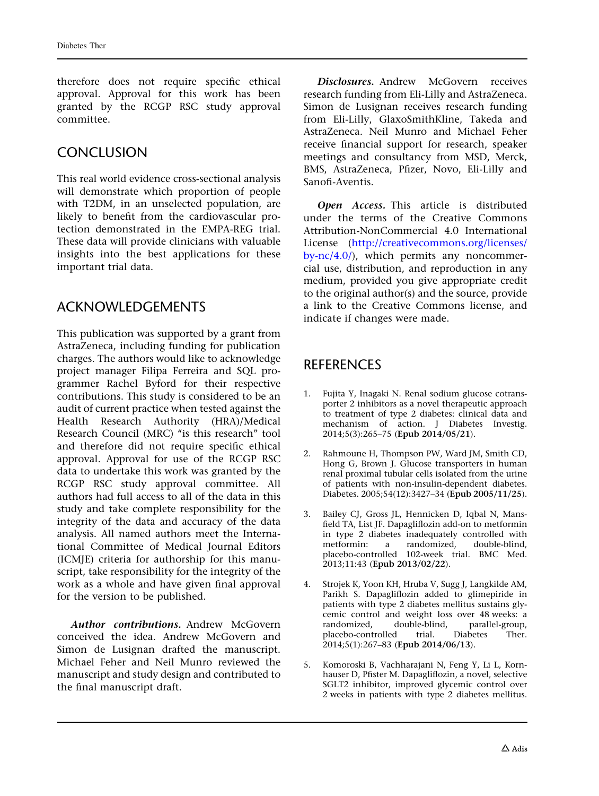<span id="page-6-0"></span>therefore does not require specific ethical approval. Approval for this work has been granted by the RCGP RSC study approval committee.

### **CONCLUSION**

This real world evidence cross-sectional analysis will demonstrate which proportion of people with T2DM, in an unselected population, are likely to benefit from the cardiovascular protection demonstrated in the EMPA-REG trial. These data will provide clinicians with valuable insights into the best applications for these important trial data.

### ACKNOWLEDGEMENTS

This publication was supported by a grant from AstraZeneca, including funding for publication charges. The authors would like to acknowledge project manager Filipa Ferreira and SQL programmer Rachel Byford for their respective contributions. This study is considered to be an audit of current practice when tested against the Health Research Authority (HRA)/Medical Research Council (MRC) "is this research" tool and therefore did not require specific ethical approval. Approval for use of the RCGP RSC data to undertake this work was granted by the RCGP RSC study approval committee. All authors had full access to all of the data in this study and take complete responsibility for the integrity of the data and accuracy of the data analysis. All named authors meet the International Committee of Medical Journal Editors (ICMJE) criteria for authorship for this manuscript, take responsibility for the integrity of the work as a whole and have given final approval for the version to be published.

Author contributions. Andrew McGovern conceived the idea. Andrew McGovern and Simon de Lusignan drafted the manuscript. Michael Feher and Neil Munro reviewed the manuscript and study design and contributed to the final manuscript draft.

Disclosures. Andrew McGovern receives research funding from Eli-Lilly and AstraZeneca. Simon de Lusignan receives research funding from Eli-Lilly, GlaxoSmithKline, Takeda and AstraZeneca. Neil Munro and Michael Feher receive financial support for research, speaker meetings and consultancy from MSD, Merck, BMS, AstraZeneca, Pfizer, Novo, Eli-Lilly and Sanofi-Aventis.

Open Access. This article is distributed under the terms of the Creative Commons Attribution-NonCommercial 4.0 International License ([http://creativecommons.org/licenses/](http://creativecommons.org/licenses/by-nc/4.0/) [by-nc/4.0/](http://creativecommons.org/licenses/by-nc/4.0/)), which permits any noncommercial use, distribution, and reproduction in any medium, provided you give appropriate credit to the original author(s) and the source, provide a link to the Creative Commons license, and indicate if changes were made.

# **REFERENCES**

- 1. Fujita Y, Inagaki N. Renal sodium glucose cotransporter 2 inhibitors as a novel therapeutic approach to treatment of type 2 diabetes: clinical data and mechanism of action. J Diabetes Investig. 2014;5(3):265–75 (Epub 2014/05/21).
- 2. Rahmoune H, Thompson PW, Ward JM, Smith CD, Hong G, Brown J. Glucose transporters in human renal proximal tubular cells isolated from the urine of patients with non-insulin-dependent diabetes. Diabetes. 2005;54(12):3427–34 (Epub 2005/11/25).
- 3. Bailey CJ, Gross JL, Hennicken D, Iqbal N, Mansfield TA, List JF. Dapagliflozin add-on to metformin in type 2 diabetes inadequately controlled with<br>metformin: a randomized, double-blind, metformin: a randomized, double-blind, placebo-controlled 102-week trial. BMC Med. 2013;11:43 (Epub 2013/02/22).
- 4. Strojek K, Yoon KH, Hruba V, Sugg J, Langkilde AM, Parikh S. Dapagliflozin added to glimepiride in patients with type 2 diabetes mellitus sustains glycemic control and weight loss over 48 weeks: a<br>randomized, double-blind, parallel-group, parallel-group, placebo-controlled trial. Diabetes Ther. 2014;5(1):267–83 (Epub 2014/06/13).
- 5. Komoroski B, Vachharajani N, Feng Y, Li L, Kornhauser D, Pfister M. Dapagliflozin, a novel, selective SGLT2 inhibitor, improved glycemic control over 2 weeks in patients with type 2 diabetes mellitus.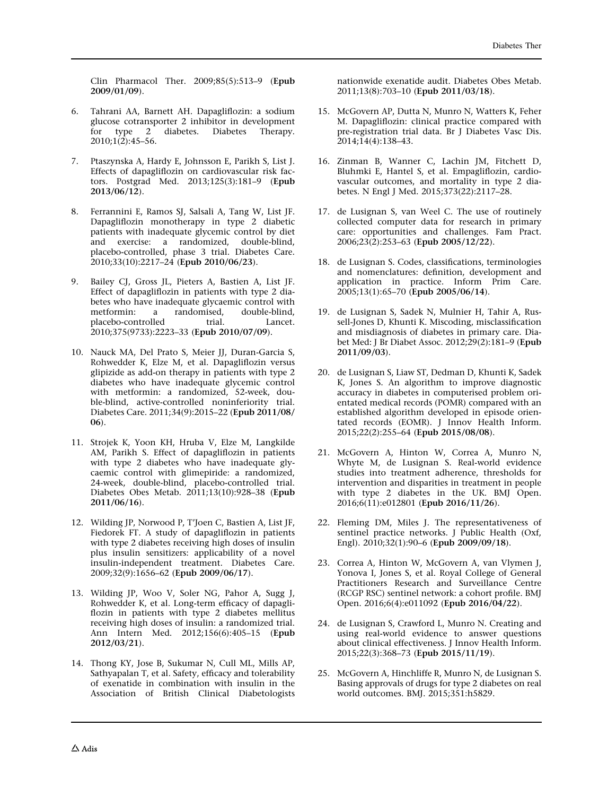<span id="page-7-0"></span>Clin Pharmacol Ther. 2009;85(5):513–9 (Epub 2009/01/09).

- 6. Tahrani AA, Barnett AH. Dapagliflozin: a sodium glucose cotransporter 2 inhibitor in development for type 2 diabetes. Diabetes Therapy.  $2010;1(2):45-56.$
- 7. Ptaszynska A, Hardy E, Johnsson E, Parikh S, List J. Effects of dapagliflozin on cardiovascular risk factors. Postgrad Med. 2013;125(3):181–9 (Epub  $2013/06/12$ ).
- 8. Ferrannini E, Ramos SJ, Salsali A, Tang W, List JF. Dapagliflozin monotherapy in type 2 diabetic patients with inadequate glycemic control by diet and exercise: a randomized, double-blind, placebo-controlled, phase 3 trial. Diabetes Care. 2010;33(10):2217–24 (Epub 2010/06/23).
- 9. Bailey CJ, Gross JL, Pieters A, Bastien A, List JF. Effect of dapagliflozin in patients with type 2 diabetes who have inadequate glycaemic control with<br>metformin: a randomised. double-blind. metformin: a randomised, placebo-controlled trial. Lancet. 2010;375(9733):2223–33 (Epub 2010/07/09).
- 10. Nauck MA, Del Prato S, Meier JJ, Duran-Garcia S, Rohwedder K, Elze M, et al. Dapagliflozin versus glipizide as add-on therapy in patients with type 2 diabetes who have inadequate glycemic control with metformin: a randomized, 52-week, double-blind, active-controlled noninferiority trial. Diabetes Care. 2011;34(9):2015–22 (Epub 2011/08/ 06).
- 11. Strojek K, Yoon KH, Hruba V, Elze M, Langkilde AM, Parikh S. Effect of dapagliflozin in patients with type 2 diabetes who have inadequate glycaemic control with glimepiride: a randomized, 24-week, double-blind, placebo-controlled trial. Diabetes Obes Metab. 2011;13(10):928–38 (Epub 2011/06/16).
- 12. Wilding JP, Norwood P, T'Joen C, Bastien A, List JF, Fiedorek FT. A study of dapagliflozin in patients with type 2 diabetes receiving high doses of insulin plus insulin sensitizers: applicability of a novel insulin-independent treatment. Diabetes Care. 2009;32(9):1656–62 (Epub 2009/06/17).
- 13. Wilding JP, Woo V, Soler NG, Pahor A, Sugg J, Rohwedder K, et al. Long-term efficacy of dapagliflozin in patients with type 2 diabetes mellitus receiving high doses of insulin: a randomized trial. Ann Intern Med. 2012;156(6):405–15 (Epub 2012/03/21).
- 14. Thong KY, Jose B, Sukumar N, Cull ML, Mills AP, Sathyapalan T, et al. Safety, efficacy and tolerability of exenatide in combination with insulin in the Association of British Clinical Diabetologists

nationwide exenatide audit. Diabetes Obes Metab. 2011;13(8):703–10 (Epub 2011/03/18).

- 15. McGovern AP, Dutta N, Munro N, Watters K, Feher M. Dapagliflozin: clinical practice compared with pre-registration trial data. Br J Diabetes Vasc Dis.  $2014;14(4):138-43.$
- 16. Zinman B, Wanner C, Lachin JM, Fitchett D, Bluhmki E, Hantel S, et al. Empagliflozin, cardiovascular outcomes, and mortality in type 2 diabetes. N Engl J Med. 2015;373(22):2117–28.
- 17. de Lusignan S, van Weel C. The use of routinely collected computer data for research in primary care: opportunities and challenges. Fam Pract.  $2006;23(2):253-63$  (Epub  $2005/12/22$ ).
- 18. de Lusignan S. Codes, classifications, terminologies and nomenclatures: definition, development and application in practice. Inform Prim Care.  $2005;13(1):65-70$  (Epub  $2005/06/14$ ).
- 19. de Lusignan S, Sadek N, Mulnier H, Tahir A, Russell-Jones D, Khunti K. Miscoding, misclassification and misdiagnosis of diabetes in primary care. Diabet Med: J Br Diabet Assoc. 2012;29(2):181–9 (Epub 2011/09/03).
- 20. de Lusignan S, Liaw ST, Dedman D, Khunti K, Sadek K, Jones S. An algorithm to improve diagnostic accuracy in diabetes in computerised problem orientated medical records (POMR) compared with an established algorithm developed in episode orientated records (EOMR). J Innov Health Inform. 2015;22(2):255–64 (Epub 2015/08/08).
- 21. McGovern A, Hinton W, Correa A, Munro N, Whyte M, de Lusignan S. Real-world evidence studies into treatment adherence, thresholds for intervention and disparities in treatment in people with type 2 diabetes in the UK. BMJ Open. 2016;6(11):e012801 (Epub 2016/11/26).
- 22. Fleming DM, Miles J. The representativeness of sentinel practice networks. J Public Health (Oxf, Engl). 2010;32(1):90–6 (Epub 2009/09/18).
- 23. Correa A, Hinton W, McGovern A, van Vlymen J, Yonova I, Jones S, et al. Royal College of General Practitioners Research and Surveillance Centre (RCGP RSC) sentinel network: a cohort profile. BMJ Open. 2016;6(4):e011092 (Epub 2016/04/22).
- 24. de Lusignan S, Crawford L, Munro N. Creating and using real-world evidence to answer questions about clinical effectiveness. J Innov Health Inform. 2015;22(3):368–73 (Epub 2015/11/19).
- 25. McGovern A, Hinchliffe R, Munro N, de Lusignan S. Basing approvals of drugs for type 2 diabetes on real world outcomes. BMJ. 2015;351:h5829.